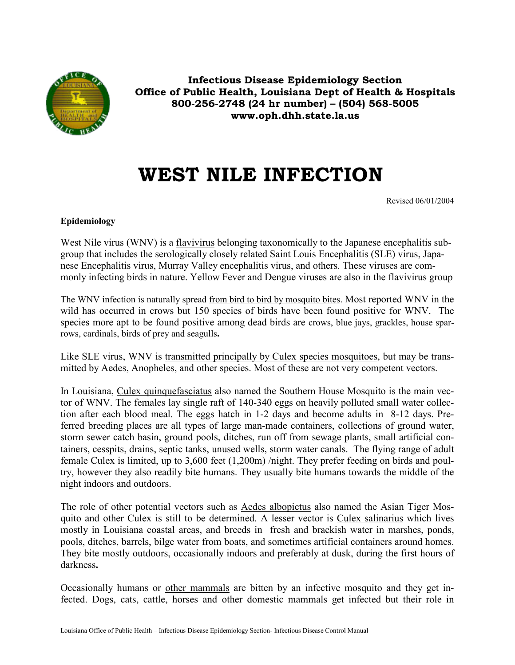

**Infectious Disease Epidemiology Section Office of Public Health, Louisiana Dept of Health & Hospitals 800-256-2748 (24 hr number) – (504) 568-5005 www.oph.dhh.state.la.us**

# **WEST NILE INFECTION**

Revised 06/01/2004

# **Epidemiology**

West Nile virus (WNV) is a flavivirus belonging taxonomically to the Japanese encephalitis subgroup that includes the serologically closely related Saint Louis Encephalitis (SLE) virus, Japanese Encephalitis virus, Murray Valley encephalitis virus, and others. These viruses are commonly infecting birds in nature. Yellow Fever and Dengue viruses are also in the flavivirus group

The WNV infection is naturally spread from bird to bird by mosquito bites. Most reported WNV in the wild has occurred in crows but 150 species of birds have been found positive for WNV. The species more apt to be found positive among dead birds are <u>crows, blue jays, grackles</u>, house sparrows, cardinals, birds of prey and seagulls**.**

Like SLE virus, WNV is transmitted principally by Culex species mosquitoes, but may be transmitted by Aedes, Anopheles, and other species. Most of these are not very competent vectors.

In Louisiana, Culex quinquefasciatus also named the Southern House Mosquito is the main vector of WNV. The females lay single raft of 140-340 eggs on heavily polluted small water collection after each blood meal. The eggs hatch in 1-2 days and become adults in 8-12 days. Preferred breeding places are all types of large man-made containers, collections of ground water, storm sewer catch basin, ground pools, ditches, run off from sewage plants, small artificial containers, cesspits, drains, septic tanks, unused wells, storm water canals. The flying range of adult female Culex is limited, up to 3,600 feet (1,200m) /night. They prefer feeding on birds and poultry, however they also readily bite humans. They usually bite humans towards the middle of the night indoors and outdoors.

The role of other potential vectors such as Aedes albopictus also named the Asian Tiger Mosquito and other Culex is still to be determined. A lesser vector is Culex salinarius which lives mostly in Louisiana coastal areas, and breeds in fresh and brackish water in marshes, ponds, pools, ditches, barrels, bilge water from boats, and sometimes artificial containers around homes. They bite mostly outdoors, occasionally indoors and preferably at dusk, during the first hours of darkness**.**

Occasionally humans or other mammals are bitten by an infective mosquito and they get infected. Dogs, cats, cattle, horses and other domestic mammals get infected but their role in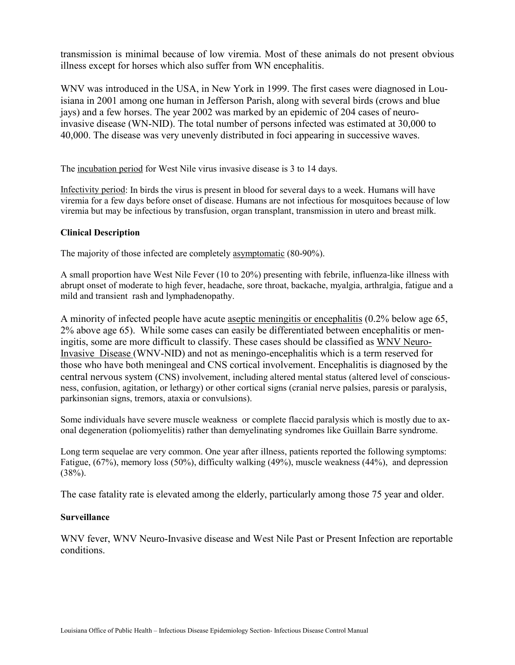transmission is minimal because of low viremia. Most of these animals do not present obvious illness except for horses which also suffer from WN encephalitis.

WNV was introduced in the USA, in New York in 1999. The first cases were diagnosed in Louisiana in 2001 among one human in Jefferson Parish, along with several birds (crows and blue jays) and a few horses. The year 2002 was marked by an epidemic of 204 cases of neuroinvasive disease (WN-NID). The total number of persons infected was estimated at 30,000 to 40,000. The disease was very unevenly distributed in foci appearing in successive waves.

The incubation period for West Nile virus invasive disease is 3 to 14 days.

Infectivity period: In birds the virus is present in blood for several days to a week. Humans will have viremia for a few days before onset of disease. Humans are not infectious for mosquitoes because of low viremia but may be infectious by transfusion, organ transplant, transmission in utero and breast milk.

## **Clinical Description**

The majority of those infected are completely asymptomatic (80-90%).

A small proportion have West Nile Fever (10 to 20%) presenting with febrile, influenza-like illness with abrupt onset of moderate to high fever, headache, sore throat, backache, myalgia, arthralgia, fatigue and a mild and transient rash and lymphadenopathy.

A minority of infected people have acute aseptic meningitis or encephalitis (0.2% below age 65, 2% above age 65). While some cases can easily be differentiated between encephalitis or meningitis, some are more difficult to classify. These cases should be classified as WNV Neuro-Invasive Disease (WNV-NID) and not as meningo-encephalitis which is a term reserved for those who have both meningeal and CNS cortical involvement. Encephalitis is diagnosed by the central nervous system (CNS) involvement, including altered mental status (altered level of consciousness, confusion, agitation, or lethargy) or other cortical signs (cranial nerve palsies, paresis or paralysis, parkinsonian signs, tremors, ataxia or convulsions).

Some individuals have severe muscle weakness or complete flaccid paralysis which is mostly due to axonal degeneration (poliomyelitis) rather than demyelinating syndromes like Guillain Barre syndrome.

Long term sequelae are very common. One year after illness, patients reported the following symptoms: Fatigue, (67%), memory loss (50%), difficulty walking (49%), muscle weakness (44%), and depression  $(38\%)$ .

The case fatality rate is elevated among the elderly, particularly among those 75 year and older.

## **Surveillance**

WNV fever, WNV Neuro-Invasive disease and West Nile Past or Present Infection are reportable conditions.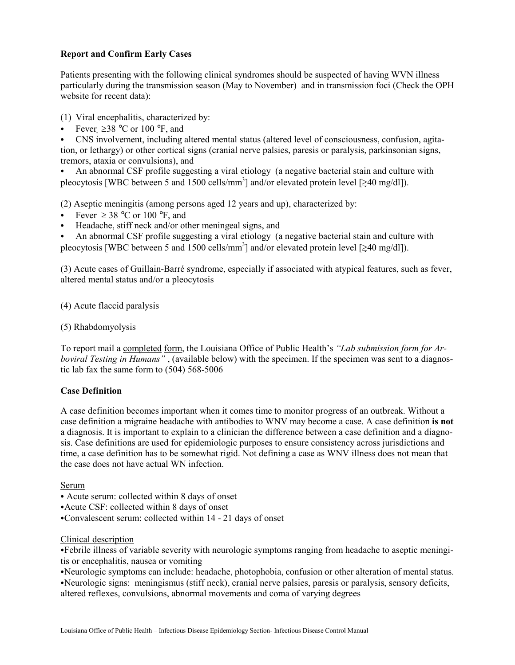## **Report and Confirm Early Cases**

Patients presenting with the following clinical syndromes should be suspected of having WVN illness particularly during the transmission season (May to November) and in transmission foci (Check the OPH website for recent data):

(1) Viral encephalitis, characterized by:

Fever  $\geq$ 38 °C or 100 °F, and

C CNS involvement, including altered mental status (altered level of consciousness, confusion, agitation, or lethargy) or other cortical signs (cranial nerve palsies, paresis or paralysis, parkinsonian signs, tremors, ataxia or convulsions), and

C An abnormal CSF profile suggesting a viral etiology (a negative bacterial stain and culture with pleocytosis [WBC between 5 and 1500 cells/mm<sup>3</sup>] and/or elevated protein level [ $\geq$ 40 mg/dl]).

(2) Aseptic meningitis (among persons aged 12 years and up), characterized by:

- Fever  $\geq 38$  °C or 100 °F, and
- Headache, stiff neck and/or other meningeal signs, and

C An abnormal CSF profile suggesting a viral etiology (a negative bacterial stain and culture with pleocytosis [WBC between 5 and 1500 cells/mm<sup>3</sup>] and/or elevated protein level [ $\geq 40$  mg/dl]).

(3) Acute cases of Guillain-Barré syndrome, especially if associated with atypical features, such as fever, altered mental status and/or a pleocytosis

(4) Acute flaccid paralysis

(5) Rhabdomyolysis

To report mail a completed form, the Louisiana Office of Public Health's *"Lab submission form for Arboviral Testing in Humans"*, (available below) with the specimen. If the specimen was sent to a diagnostic lab fax the same form to (504) 568-5006

## **Case Definition**

A case definition becomes important when it comes time to monitor progress of an outbreak. Without a case definition a migraine headache with antibodies to WNV may become a case. A case definition **is not**  a diagnosis. It is important to explain to a clinician the difference between a case definition and a diagnosis. Case definitions are used for epidemiologic purposes to ensure consistency across jurisdictions and time, a case definition has to be somewhat rigid. Not defining a case as WNV illness does not mean that the case does not have actual WN infection.

Serum

- Acute serum: collected within 8 days of onset
- Acute CSF: collected within 8 days of onset
- •Convalescent serum: collected within 14 21 days of onset

## Clinical description

CFebrile illness of variable severity with neurologic symptoms ranging from headache to aseptic meningitis or encephalitis, nausea or vomiting

CNeurologic symptoms can include: headache, photophobia, confusion or other alteration of mental status. CNeurologic signs: meningismus (stiff neck), cranial nerve palsies, paresis or paralysis, sensory deficits, altered reflexes, convulsions, abnormal movements and coma of varying degrees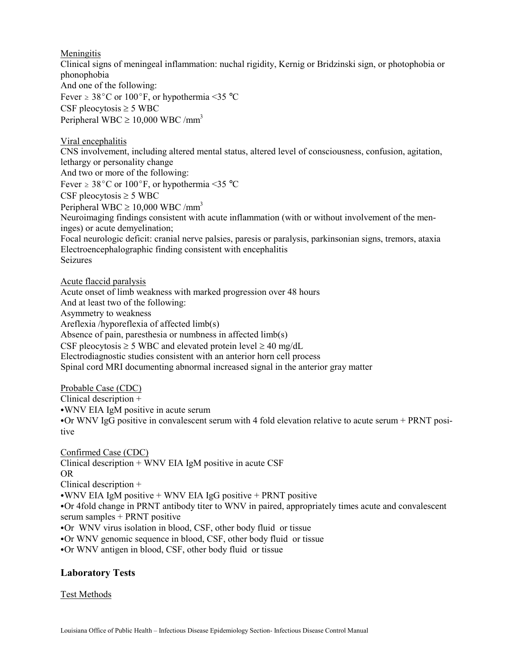**Meningitis** 

Clinical signs of meningeal inflammation: nuchal rigidity, Kernig or Bridzinski sign, or photophobia or phonophobia And one of the following: Fever  $\geq 38^{\circ}$ C or 100°F, or hypothermia <35 °C CSF pleocytosis  $\geq$  5 WBC Peripheral WBC  $\geq$  10,000 WBC /mm<sup>3</sup>

Viral encephalitis CNS involvement, including altered mental status, altered level of consciousness, confusion, agitation, lethargy or personality change And two or more of the following: Fever  $\geq 38^{\circ}$ C or 100°F, or hypothermia <35 °C CSF pleocytosis  $\geq$  5 WBC Peripheral WBC  $\geq$  10,000 WBC /mm<sup>3</sup> Neuroimaging findings consistent with acute inflammation (with or without involvement of the meninges) or acute demyelination; Focal neurologic deficit: cranial nerve palsies, paresis or paralysis, parkinsonian signs, tremors, ataxia Electroencephalographic finding consistent with encephalitis Seizures

Acute flaccid paralysis Acute onset of limb weakness with marked progression over 48 hours And at least two of the following: Asymmetry to weakness Areflexia /hyporeflexia of affected limb(s) Absence of pain, paresthesia or numbness in affected limb(s) CSF pleocytosis  $\geq$  5 WBC and elevated protein level  $\geq$  40 mg/dL Electrodiagnostic studies consistent with an anterior horn cell process Spinal cord MRI documenting abnormal increased signal in the anterior gray matter

Probable Case (CDC) Clinical description + • WNV EIA IgM positive in acute serum • Or WNV IgG positive in convalescent serum with 4 fold elevation relative to acute serum + PRNT positive

Confirmed Case (CDC) Clinical description + WNV EIA IgM positive in acute CSF OR Clinical description +  $\cdot$ WNV EIA IgM positive + WNV EIA IgG positive + PRNT positive • Or 4fold change in PRNT antibody titer to WNV in paired, appropriately times acute and convalescent serum samples + PRNT positive •Or WNV virus isolation in blood, CSF, other body fluid or tissue •Or WNV genomic sequence in blood, CSF, other body fluid or tissue •Or WNV antigen in blood, CSF, other body fluid or tissue

# **Laboratory Tests**

## Test Methods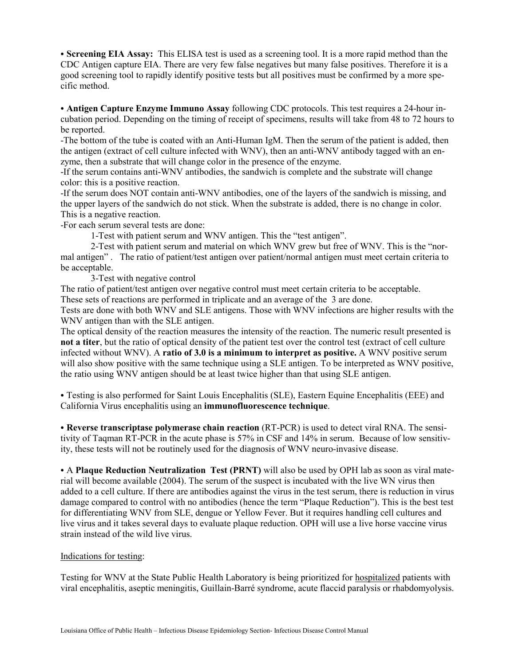• **Screening EIA Assay:** This ELISA test is used as a screening tool. It is a more rapid method than the CDC Antigen capture EIA. There are very few false negatives but many false positives. Therefore it is a good screening tool to rapidly identify positive tests but all positives must be confirmed by a more specific method.

C **Antigen Capture Enzyme Immuno Assay** following CDC protocols. This test requires a 24-hour incubation period. Depending on the timing of receipt of specimens, results will take from 48 to 72 hours to be reported.

-The bottom of the tube is coated with an Anti-Human IgM. Then the serum of the patient is added, then the antigen (extract of cell culture infected with WNV), then an anti-WNV antibody tagged with an enzyme, then a substrate that will change color in the presence of the enzyme.

-If the serum contains anti-WNV antibodies, the sandwich is complete and the substrate will change color: this is a positive reaction.

-If the serum does NOT contain anti-WNV antibodies, one of the layers of the sandwich is missing, and the upper layers of the sandwich do not stick. When the substrate is added, there is no change in color. This is a negative reaction.

-For each serum several tests are done:

1-Test with patient serum and WNV antigen. This the "test antigen".

 2-Test with patient serum and material on which WNV grew but free of WNV. This is the "normal antigen" . The ratio of patient/test antigen over patient/normal antigen must meet certain criteria to be acceptable.

3-Test with negative control

The ratio of patient/test antigen over negative control must meet certain criteria to be acceptable. These sets of reactions are performed in triplicate and an average of the 3 are done.

Tests are done with both WNV and SLE antigens. Those with WNV infections are higher results with the WNV antigen than with the SLE antigen.

The optical density of the reaction measures the intensity of the reaction. The numeric result presented is **not a titer**, but the ratio of optical density of the patient test over the control test (extract of cell culture infected without WNV). A **ratio of 3.0 is a minimum to interpret as positive.** A WNV positive serum will also show positive with the same technique using a SLE antigen. To be interpreted as WNV positive, the ratio using WNV antigen should be at least twice higher than that using SLE antigen.

• Testing is also performed for Saint Louis Encephalitis (SLE), Eastern Equine Encephalitis (EEE) and California Virus encephalitis using an **immunofluorescence technique**.

**• Reverse transcriptase polymerase chain reaction** (RT-PCR) is used to detect viral RNA. The sensitivity of Taqman RT-PCR in the acute phase is 57% in CSF and 14% in serum. Because of low sensitivity, these tests will not be routinely used for the diagnosis of WNV neuro-invasive disease.

• A Plaque Reduction Neutralization Test (PRNT) will also be used by OPH lab as soon as viral material will become available (2004). The serum of the suspect is incubated with the live WN virus then added to a cell culture. If there are antibodies against the virus in the test serum, there is reduction in virus damage compared to control with no antibodies (hence the term "Plaque Reduction"). This is the best test for differentiating WNV from SLE, dengue or Yellow Fever. But it requires handling cell cultures and live virus and it takes several days to evaluate plaque reduction. OPH will use a live horse vaccine virus strain instead of the wild live virus.

## Indications for testing:

Testing for WNV at the State Public Health Laboratory is being prioritized for hospitalized patients with viral encephalitis, aseptic meningitis, Guillain-Barré syndrome, acute flaccid paralysis or rhabdomyolysis.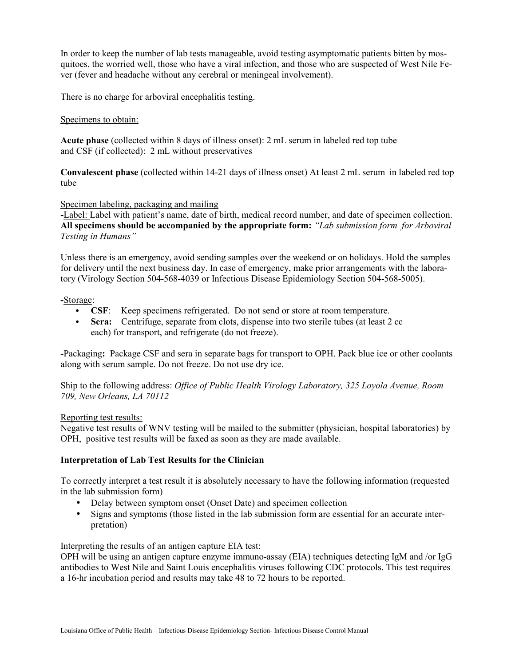In order to keep the number of lab tests manageable, avoid testing asymptomatic patients bitten by mosquitoes, the worried well, those who have a viral infection, and those who are suspected of West Nile Fever (fever and headache without any cerebral or meningeal involvement).

There is no charge for arboviral encephalitis testing.

## Specimens to obtain:

**Acute phase** (collected within 8 days of illness onset): 2 mL serum in labeled red top tube and CSF (if collected): 2 mL without preservatives

**Convalescent phase** (collected within 14-21 days of illness onset) At least 2 mL serum in labeled red top tube

## Specimen labeling, packaging and mailing

**-**Label: Label with patient's name, date of birth, medical record number, and date of specimen collection. **All specimens should be accompanied by the appropriate form:** *"Lab submission form for Arboviral Testing in Humans"*

Unless there is an emergency, avoid sending samples over the weekend or on holidays. Hold the samples for delivery until the next business day. In case of emergency, make prior arrangements with the laboratory (Virology Section 504-568-4039 or Infectious Disease Epidemiology Section 504-568-5005).

#### **-**Storage:

- **CSF**: Keep specimens refrigerated. Do not send or store at room temperature.
- **Sera:** Centrifuge, separate from clots, dispense into two sterile tubes (at least 2 cc each) for transport, and refrigerate (do not freeze).

**-**Packaging**:** Package CSF and sera in separate bags for transport to OPH. Pack blue ice or other coolants along with serum sample. Do not freeze. Do not use dry ice.

Ship to the following address: *Office of Public Health Virology Laboratory, 325 Loyola Avenue, Room 709, New Orleans, LA 70112* 

## Reporting test results:

Negative test results of WNV testing will be mailed to the submitter (physician, hospital laboratories) by OPH, positive test results will be faxed as soon as they are made available.

## **Interpretation of Lab Test Results for the Clinician**

To correctly interpret a test result it is absolutely necessary to have the following information (requested in the lab submission form)

- Delay between symptom onset (Onset Date) and specimen collection
- Signs and symptoms (those listed in the lab submission form are essential for an accurate interpretation)

Interpreting the results of an antigen capture EIA test:

OPH will be using an antigen capture enzyme immuno-assay (EIA) techniques detecting IgM and /or IgG antibodies to West Nile and Saint Louis encephalitis viruses following CDC protocols. This test requires a 16-hr incubation period and results may take 48 to 72 hours to be reported.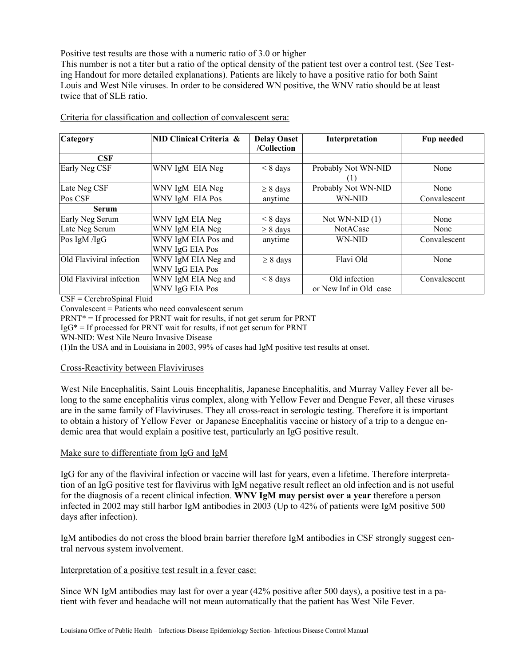Positive test results are those with a numeric ratio of 3.0 or higher

This number is not a titer but a ratio of the optical density of the patient test over a control test. (See Testing Handout for more detailed explanations). Patients are likely to have a positive ratio for both Saint Louis and West Nile viruses. In order to be considered WN positive, the WNV ratio should be at least twice that of SLE ratio.

| Category                 | NID Clinical Criteria & | <b>Delay Onset</b> | Interpretation         | Fup needed   |
|--------------------------|-------------------------|--------------------|------------------------|--------------|
|                          |                         | /Collection        |                        |              |
| <b>CSF</b>               |                         |                    |                        |              |
| Early Neg CSF            | WNV IgM EIA Neg         | $< 8 \text{ days}$ | Probably Not WN-NID    | None         |
|                          |                         |                    | (1)                    |              |
| Late Neg CSF             | WNV IgM EIA Neg         | $\geq 8$ days      | Probably Not WN-NID    | None         |
| Pos CSF                  | WNV IgM EIA Pos         | anytime            | WN-NID                 | Convalescent |
| <b>Serum</b>             |                         |                    |                        |              |
| Early Neg Serum          | WNV IgM EIA Neg         | $\leq 8$ days      | Not WN-NID $(1)$       | None         |
| Late Neg Serum           | WNV IgM EIA Neg         | $\geq 8$ days      | <b>NotACase</b>        | None         |
| Pos IgM /IgG             | WNV IgM EIA Pos and     | anytime            | WN-NID                 | Convalescent |
|                          | WNV IgG EIA Pos         |                    |                        |              |
| Old Flaviviral infection | WNV IgM EIA Neg and     | $\geq 8$ days      | Flavi Old              | None         |
|                          | WNV IgG EIA Pos         |                    |                        |              |
| Old Flaviviral infection | WNV IgM EIA Neg and     | $< 8 \text{ days}$ | Old infection          | Convalescent |
|                          | WNV IgG EIA Pos         |                    | or New Inf in Old case |              |

Criteria for classification and collection of convalescent sera:

CSF = CerebroSpinal Fluid

Convalescent = Patients who need convalescent serum

PRNT\* = If processed for PRNT wait for results, if not get serum for PRNT

 $IgG^* = If processed for PRNT wait for results, if not get serum for PRNT$ 

WN-NID: West Nile Neuro Invasive Disease

(1)In the USA and in Louisiana in 2003, 99% of cases had IgM positive test results at onset.

## Cross-Reactivity between Flaviviruses

West Nile Encephalitis, Saint Louis Encephalitis, Japanese Encephalitis, and Murray Valley Fever all belong to the same encephalitis virus complex, along with Yellow Fever and Dengue Fever, all these viruses are in the same family of Flaviviruses. They all cross-react in serologic testing. Therefore it is important to obtain a history of Yellow Fever or Japanese Encephalitis vaccine or history of a trip to a dengue endemic area that would explain a positive test, particularly an IgG positive result.

## Make sure to differentiate from IgG and IgM

IgG for any of the flaviviral infection or vaccine will last for years, even a lifetime. Therefore interpretation of an IgG positive test for flavivirus with IgM negative result reflect an old infection and is not useful for the diagnosis of a recent clinical infection. **WNV IgM may persist over a year** therefore a person infected in 2002 may still harbor IgM antibodies in 2003 (Up to 42% of patients were IgM positive 500 days after infection).

IgM antibodies do not cross the blood brain barrier therefore IgM antibodies in CSF strongly suggest central nervous system involvement.

## Interpretation of a positive test result in a fever case:

Since WN IgM antibodies may last for over a year (42% positive after 500 days), a positive test in a patient with fever and headache will not mean automatically that the patient has West Nile Fever.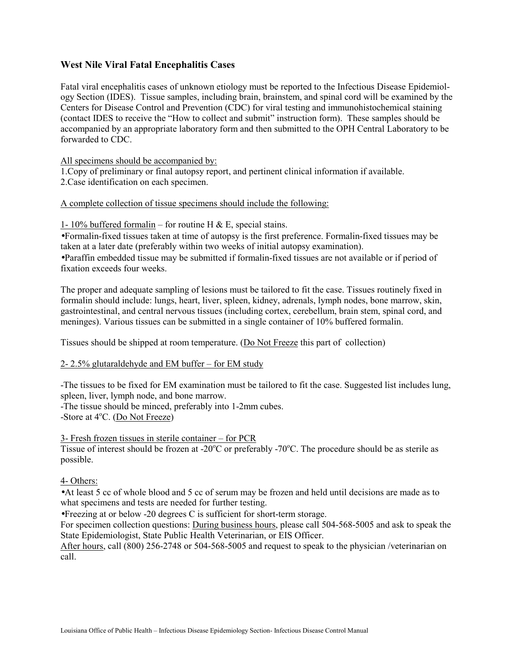# **West Nile Viral Fatal Encephalitis Cases**

Fatal viral encephalitis cases of unknown etiology must be reported to the Infectious Disease Epidemiology Section (IDES). Tissue samples, including brain, brainstem, and spinal cord will be examined by the Centers for Disease Control and Prevention (CDC) for viral testing and immunohistochemical staining (contact IDES to receive the "How to collect and submit" instruction form). These samples should be accompanied by an appropriate laboratory form and then submitted to the OPH Central Laboratory to be forwarded to CDC.

All specimens should be accompanied by:

1.Copy of preliminary or final autopsy report, and pertinent clinical information if available. 2.Case identification on each specimen.

#### A complete collection of tissue specimens should include the following:

1- 10% buffered formal in – for routine H & E, special stains.

•Formalin-fixed tissues taken at time of autopsy is the first preference. Formalin-fixed tissues may be taken at a later date (preferably within two weeks of initial autopsy examination).

•Paraffin embedded tissue may be submitted if formalin-fixed tissues are not available or if period of fixation exceeds four weeks.

The proper and adequate sampling of lesions must be tailored to fit the case. Tissues routinely fixed in formalin should include: lungs, heart, liver, spleen, kidney, adrenals, lymph nodes, bone marrow, skin, gastrointestinal, and central nervous tissues (including cortex, cerebellum, brain stem, spinal cord, and meninges). Various tissues can be submitted in a single container of 10% buffered formalin.

Tissues should be shipped at room temperature. (Do Not Freeze this part of collection)

#### 2- 2.5% glutaraldehyde and EM buffer – for EM study

-The tissues to be fixed for EM examination must be tailored to fit the case. Suggested list includes lung, spleen, liver, lymph node, and bone marrow.

-The tissue should be minced, preferably into 1-2mm cubes. -Store at 4°C. (Do Not Freeze)

#### 3- Fresh frozen tissues in sterile container – for PCR

Tissue of interest should be frozen at -20 $^{\circ}$ C or preferably -70 $^{\circ}$ C. The procedure should be as sterile as possible.

#### 4- Others:

•At least 5 cc of whole blood and 5 cc of serum may be frozen and held until decisions are made as to what specimens and tests are needed for further testing.

•Freezing at or below -20 degrees C is sufficient for short-term storage.

For specimen collection questions: During business hours, please call 504-568-5005 and ask to speak the State Epidemiologist, State Public Health Veterinarian, or EIS Officer.

After hours, call (800) 256-2748 or 504-568-5005 and request to speak to the physician /veterinarian on call.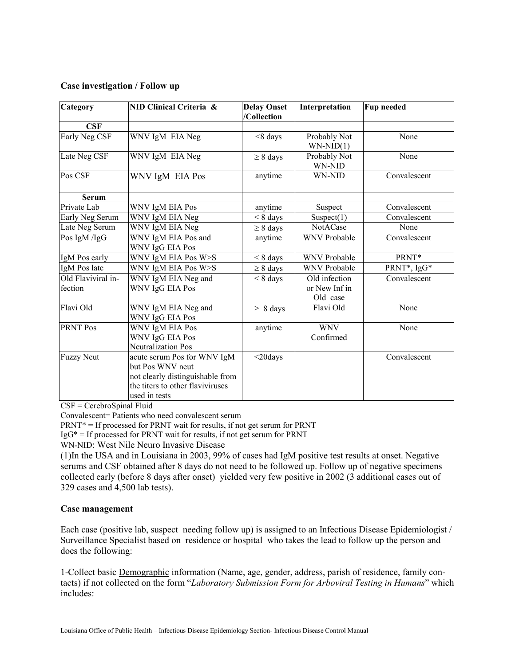## **Case investigation / Follow up**

| Category                      | NID Clinical Criteria &                                                                                                                  | <b>Delay Onset</b><br>/Collection | Interpretation                             | <b>Fup needed</b> |
|-------------------------------|------------------------------------------------------------------------------------------------------------------------------------------|-----------------------------------|--------------------------------------------|-------------------|
| CSF                           |                                                                                                                                          |                                   |                                            |                   |
| Early Neg CSF                 | WNV IgM EIA Neg                                                                                                                          | $< 8$ days                        | Probably Not<br>$WN-NID(1)$                | None              |
| Late Neg CSF                  | WNV IgM EIA Neg                                                                                                                          | $\geq 8$ days                     | Probably Not<br>WN-NID                     | None              |
| Pos CSF                       | WNV IgM EIA Pos                                                                                                                          | anytime                           | WN-NID                                     | Convalescent      |
| <b>Serum</b>                  |                                                                                                                                          |                                   |                                            |                   |
| Private Lab                   | WNV IgM EIA Pos                                                                                                                          | anytime                           | Suspect                                    | Convalescent      |
| Early Neg Serum               | WNV IgM EIA Neg                                                                                                                          | $< 8$ days                        | Suspect $(1)$                              | Convalescent      |
| Late Neg Serum                | WNV IgM EIA Neg                                                                                                                          | $\geq 8$ days                     | NotACase                                   | None              |
| Pos IgM /IgG                  | WNV IgM EIA Pos and<br>WNV IgG EIA Pos                                                                                                   | anytime                           | <b>WNV Probable</b>                        | Convalescent      |
| IgM Pos early                 | WNV IgM EIA Pos W>S                                                                                                                      | $< 8 \text{ days}$                | <b>WNV Probable</b>                        | PRNT*             |
| IgM Pos late                  | WNV IgM EIA Pos W>S                                                                                                                      | $\geq 8$ days                     | <b>WNV Probable</b>                        | PRNT*, IgG*       |
| Old Flaviviral in-<br>fection | WNV IgM EIA Neg and<br>WNV IgG EIA Pos                                                                                                   | $< 8 \text{ days}$                | Old infection<br>or New Inf in<br>Old case | Convalescent      |
| Flavi Old                     | WNV IgM EIA Neg and<br>WNV IgG EIA Pos                                                                                                   | $\geq 8$ days                     | Flavi Old                                  | None              |
| <b>PRNT Pos</b>               | <b>WNV IgM EIA Pos</b><br><b>WNV IgG EIA Pos</b><br><b>Neutralization Pos</b>                                                            | anytime                           | <b>WNV</b><br>Confirmed                    | None              |
| <b>Fuzzy Neut</b>             | acute serum Pos for WNV IgM<br>but Pos WNV neut<br>not clearly distinguishable from<br>the titers to other flaviviruses<br>used in tests | $<$ 20days                        |                                            | Convalescent      |

CSF = CerebroSpinal Fluid

Convalescent= Patients who need convalescent serum

 $PRNT* = If processed for PRNT wait for results, if not get serum for PRNT$ 

 $I gG^* = If processed for PRNT wait for results, if not get serum for PRNT$ 

WN-NID: West Nile Neuro Invasive Disease

(1)In the USA and in Louisiana in 2003, 99% of cases had IgM positive test results at onset. Negative serums and CSF obtained after 8 days do not need to be followed up. Follow up of negative specimens collected early (before 8 days after onset) yielded very few positive in 2002 (3 additional cases out of 329 cases and 4,500 lab tests).

#### **Case management**

Each case (positive lab, suspect needing follow up) is assigned to an Infectious Disease Epidemiologist / Surveillance Specialist based on residence or hospital who takes the lead to follow up the person and does the following:

1-Collect basic Demographic information (Name, age, gender, address, parish of residence, family contacts) if not collected on the form "*Laboratory Submission Form for Arboviral Testing in Humans*" which includes: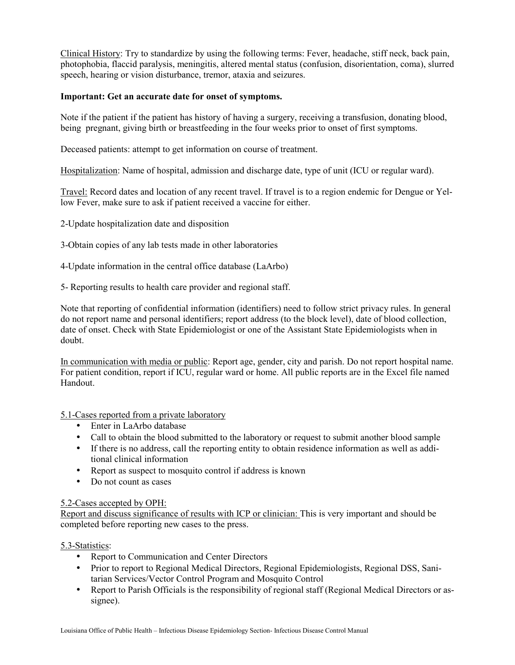Clinical History: Try to standardize by using the following terms: Fever, headache, stiff neck, back pain, photophobia, flaccid paralysis, meningitis, altered mental status (confusion, disorientation, coma), slurred speech, hearing or vision disturbance, tremor, ataxia and seizures.

## **Important: Get an accurate date for onset of symptoms.**

Note if the patient if the patient has history of having a surgery, receiving a transfusion, donating blood, being pregnant, giving birth or breastfeeding in the four weeks prior to onset of first symptoms.

Deceased patients: attempt to get information on course of treatment.

Hospitalization: Name of hospital, admission and discharge date, type of unit (ICU or regular ward).

Travel: Record dates and location of any recent travel. If travel is to a region endemic for Dengue or Yellow Fever, make sure to ask if patient received a vaccine for either.

2-Update hospitalization date and disposition

3-Obtain copies of any lab tests made in other laboratories

4-Update information in the central office database (LaArbo)

5- Reporting results to health care provider and regional staff.

Note that reporting of confidential information (identifiers) need to follow strict privacy rules. In general do not report name and personal identifiers; report address (to the block level), date of blood collection, date of onset. Check with State Epidemiologist or one of the Assistant State Epidemiologists when in doubt.

In communication with media or public: Report age, gender, city and parish. Do not report hospital name. For patient condition, report if ICU, regular ward or home. All public reports are in the Excel file named Handout.

5.1-Cases reported from a private laboratory

- Enter in LaArbo database
- Call to obtain the blood submitted to the laboratory or request to submit another blood sample
- If there is no address, call the reporting entity to obtain residence information as well as additional clinical information
- Report as suspect to mosquito control if address is known
- Do not count as cases

## 5.2-Cases accepted by OPH:

Report and discuss significance of results with ICP or clinician: This is very important and should be completed before reporting new cases to the press.

5.3-Statistics:

- Report to Communication and Center Directors
- Prior to report to Regional Medical Directors, Regional Epidemiologists, Regional DSS, Sanitarian Services/Vector Control Program and Mosquito Control
- Report to Parish Officials is the responsibility of regional staff (Regional Medical Directors or assignee).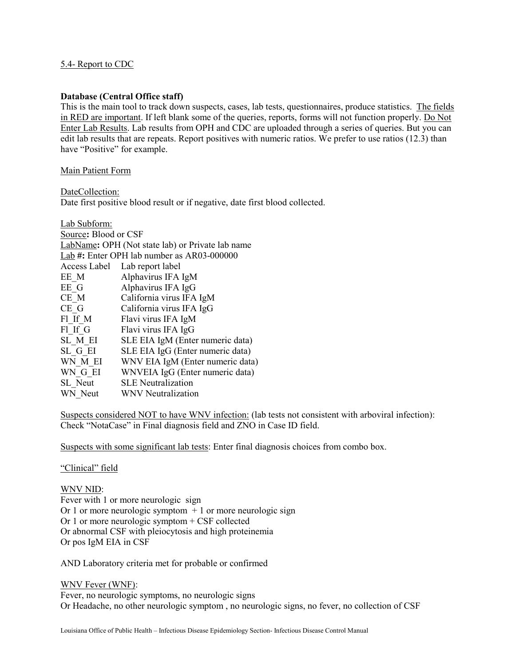## 5.4- Report to CDC

#### **Database (Central Office staff)**

This is the main tool to track down suspects, cases, lab tests, questionnaires, produce statistics. The fields in RED are important. If left blank some of the queries, reports, forms will not function properly. Do Not Enter Lab Results. Lab results from OPH and CDC are uploaded through a series of queries. But you can edit lab results that are repeats. Report positives with numeric ratios. We prefer to use ratios (12.3) than have "Positive" for example.

#### Main Patient Form

DateCollection:

Date first positive blood result or if negative, date first blood collected.

| Source: Blood or CSF                             |  |  |  |  |
|--------------------------------------------------|--|--|--|--|
| LabName: OPH (Not state lab) or Private lab name |  |  |  |  |
| Lab #: Enter OPH lab number as AR03-000000       |  |  |  |  |
| Access Label Lab report label                    |  |  |  |  |
| Alphavirus IFA IgM                               |  |  |  |  |
| Alphavirus IFA IgG                               |  |  |  |  |
| California virus IFA IgM                         |  |  |  |  |
| California virus IFA IgG                         |  |  |  |  |
| Flavi virus IFA IgM                              |  |  |  |  |
| Flavi virus IFA IgG                              |  |  |  |  |
| SLE EIA IgM (Enter numeric data)                 |  |  |  |  |
| SLE EIA IgG (Enter numeric data)                 |  |  |  |  |
| WNV EIA IgM (Enter numeric data)                 |  |  |  |  |
| WNVEIA IgG (Enter numeric data)                  |  |  |  |  |
| <b>SLE</b> Neutralization                        |  |  |  |  |
| WNV Neutralization                               |  |  |  |  |
|                                                  |  |  |  |  |

Suspects considered NOT to have WNV infection: (lab tests not consistent with arboviral infection): Check "NotaCase" in Final diagnosis field and ZNO in Case ID field.

Suspects with some significant lab tests: Enter final diagnosis choices from combo box.

#### "Clinical" field

WNV NID: Fever with 1 or more neurologic sign Or 1 or more neurologic symptom  $+1$  or more neurologic sign Or 1 or more neurologic symptom + CSF collected Or abnormal CSF with pleiocytosis and high proteinemia Or pos IgM EIA in CSF

AND Laboratory criteria met for probable or confirmed

WNV Fever (WNF): Fever, no neurologic symptoms, no neurologic signs Or Headache, no other neurologic symptom , no neurologic signs, no fever, no collection of CSF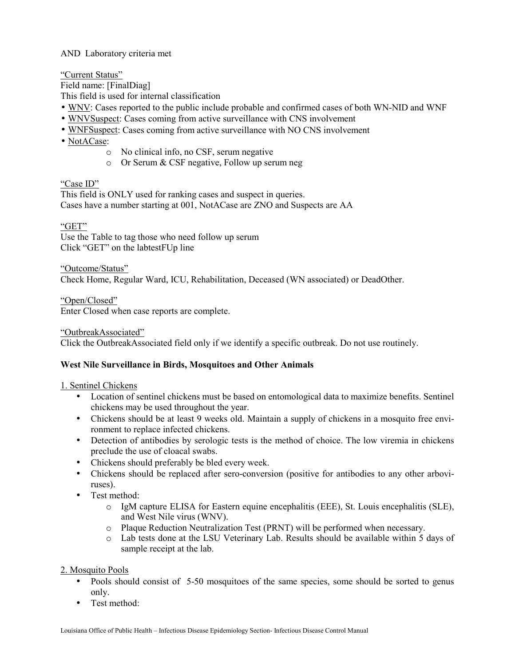# AND Laboratory criteria met

"Current Status"

Field name: [FinalDiag]

This field is used for internal classification

- WNV: Cases reported to the public include probable and confirmed cases of both WN-NID and WNF
- WNVSuspect: Cases coming from active surveillance with CNS involvement
- WNFSuspect: Cases coming from active surveillance with NO CNS involvement
- NotACase:
	- o No clinical info, no CSF, serum negative
	- o Or Serum & CSF negative, Follow up serum neg

"Case ID"

This field is ONLY used for ranking cases and suspect in queries. Cases have a number starting at 001, NotACase are ZNO and Suspects are AA

"GET"

Use the Table to tag those who need follow up serum Click "GET" on the labtestFUp line

"Outcome/Status" Check Home, Regular Ward, ICU, Rehabilitation, Deceased (WN associated) or DeadOther.

"Open/Closed" Enter Closed when case reports are complete.

"OutbreakAssociated"

Click the OutbreakAssociated field only if we identify a specific outbreak. Do not use routinely.

## **West Nile Surveillance in Birds, Mosquitoes and Other Animals**

## 1. Sentinel Chickens

- Location of sentinel chickens must be based on entomological data to maximize benefits. Sentinel chickens may be used throughout the year.
- Chickens should be at least 9 weeks old. Maintain a supply of chickens in a mosquito free environment to replace infected chickens.
- Detection of antibodies by serologic tests is the method of choice. The low viremia in chickens preclude the use of cloacal swabs.
- Chickens should preferably be bled every week.
- Chickens should be replaced after sero-conversion (positive for antibodies to any other arboviruses).
- Test method:
	- o IgM capture ELISA for Eastern equine encephalitis (EEE), St. Louis encephalitis (SLE), and West Nile virus (WNV).
	- o Plaque Reduction Neutralization Test (PRNT) will be performed when necessary.
	- o Lab tests done at the LSU Veterinary Lab. Results should be available within 5 days of sample receipt at the lab.

## 2. Mosquito Pools

- Pools should consist of 5-50 mosquitoes of the same species, some should be sorted to genus only.
- Test method: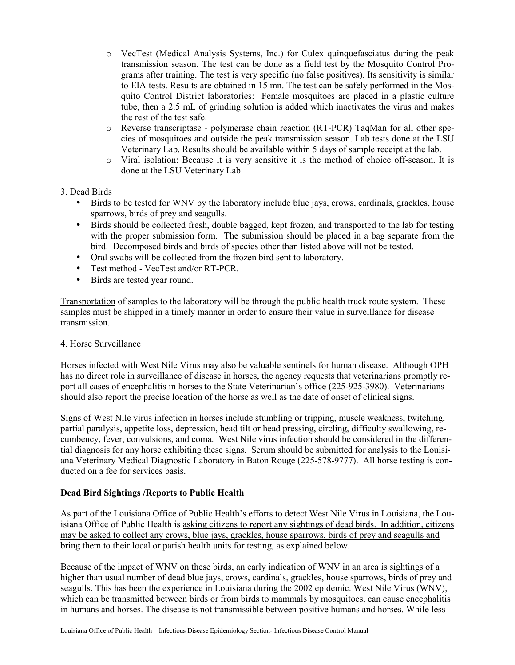- o VecTest (Medical Analysis Systems, Inc.) for Culex quinquefasciatus during the peak transmission season. The test can be done as a field test by the Mosquito Control Programs after training. The test is very specific (no false positives). Its sensitivity is similar to EIA tests. Results are obtained in 15 mn. The test can be safely performed in the Mosquito Control District laboratories: Female mosquitoes are placed in a plastic culture tube, then a 2.5 mL of grinding solution is added which inactivates the virus and makes the rest of the test safe.
- o Reverse transcriptase polymerase chain reaction (RT-PCR) TaqMan for all other species of mosquitoes and outside the peak transmission season. Lab tests done at the LSU Veterinary Lab. Results should be available within 5 days of sample receipt at the lab.
- o Viral isolation: Because it is very sensitive it is the method of choice off-season. It is done at the LSU Veterinary Lab

# 3. Dead Birds

- Birds to be tested for WNV by the laboratory include blue jays, crows, cardinals, grackles, house sparrows, birds of prey and seagulls.
- Birds should be collected fresh, double bagged, kept frozen, and transported to the lab for testing with the proper submission form. The submission should be placed in a bag separate from the bird. Decomposed birds and birds of species other than listed above will not be tested.
- Oral swabs will be collected from the frozen bird sent to laboratory.
- Test method VecTest and/or RT-PCR.
- Birds are tested year round.

Transportation of samples to the laboratory will be through the public health truck route system. These samples must be shipped in a timely manner in order to ensure their value in surveillance for disease transmission.

## 4. Horse Surveillance

Horses infected with West Nile Virus may also be valuable sentinels for human disease. Although OPH has no direct role in surveillance of disease in horses, the agency requests that veterinarians promptly report all cases of encephalitis in horses to the State Veterinarian's office (225-925-3980). Veterinarians should also report the precise location of the horse as well as the date of onset of clinical signs.

Signs of West Nile virus infection in horses include stumbling or tripping, muscle weakness, twitching, partial paralysis, appetite loss, depression, head tilt or head pressing, circling, difficulty swallowing, recumbency, fever, convulsions, and coma. West Nile virus infection should be considered in the differential diagnosis for any horse exhibiting these signs. Serum should be submitted for analysis to the Louisiana Veterinary Medical Diagnostic Laboratory in Baton Rouge (225-578-9777). All horse testing is conducted on a fee for services basis.

## **Dead Bird Sightings /Reports to Public Health**

As part of the Louisiana Office of Public Health's efforts to detect West Nile Virus in Louisiana, the Louisiana Office of Public Health is asking citizens to report any sightings of dead birds. In addition, citizens may be asked to collect any crows, blue jays, grackles, house sparrows, birds of prey and seagulls and bring them to their local or parish health units for testing, as explained below.

Because of the impact of WNV on these birds, an early indication of WNV in an area is sightings of a higher than usual number of dead blue jays, crows, cardinals, grackles, house sparrows, birds of prey and seagulls. This has been the experience in Louisiana during the 2002 epidemic. West Nile Virus (WNV), which can be transmitted between birds or from birds to mammals by mosquitoes, can cause encephalitis in humans and horses. The disease is not transmissible between positive humans and horses. While less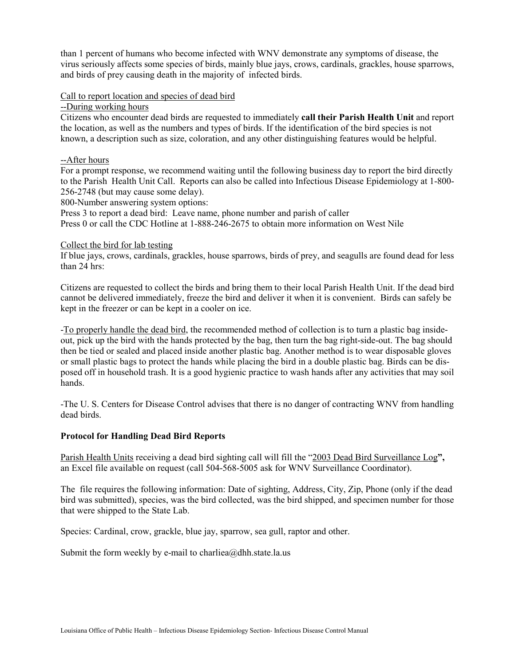than 1 percent of humans who become infected with WNV demonstrate any symptoms of disease, the virus seriously affects some species of birds, mainly blue jays, crows, cardinals, grackles, house sparrows, and birds of prey causing death in the majority of infected birds.

## Call to report location and species of dead bird

--During working hours

Citizens who encounter dead birds are requested to immediately **call their Parish Health Unit** and report the location, as well as the numbers and types of birds. If the identification of the bird species is not known, a description such as size, coloration, and any other distinguishing features would be helpful.

#### --After hours

For a prompt response, we recommend waiting until the following business day to report the bird directly to the Parish Health Unit Call. Reports can also be called into Infectious Disease Epidemiology at 1-800- 256-2748 (but may cause some delay).

800-Number answering system options:

Press 3 to report a dead bird: Leave name, phone number and parish of caller

Press 0 or call the CDC Hotline at 1-888-246-2675 to obtain more information on West Nile

#### Collect the bird for lab testing

If blue jays, crows, cardinals, grackles, house sparrows, birds of prey, and seagulls are found dead for less than 24 hrs:

Citizens are requested to collect the birds and bring them to their local Parish Health Unit. If the dead bird cannot be delivered immediately, freeze the bird and deliver it when it is convenient. Birds can safely be kept in the freezer or can be kept in a cooler on ice.

-To properly handle the dead bird, the recommended method of collection is to turn a plastic bag insideout, pick up the bird with the hands protected by the bag, then turn the bag right-side-out. The bag should then be tied or sealed and placed inside another plastic bag. Another method is to wear disposable gloves or small plastic bags to protect the hands while placing the bird in a double plastic bag. Birds can be disposed off in household trash. It is a good hygienic practice to wash hands after any activities that may soil hands.

-The U. S. Centers for Disease Control advises that there is no danger of contracting WNV from handling dead birds.

## **Protocol for Handling Dead Bird Reports**

Parish Health Units receiving a dead bird sighting call will fill the "2003 Dead Bird Surveillance Log**",**  an Excel file available on request (call 504-568-5005 ask for WNV Surveillance Coordinator).

The file requires the following information: Date of sighting, Address, City, Zip, Phone (only if the dead bird was submitted), species, was the bird collected, was the bird shipped, and specimen number for those that were shipped to the State Lab.

Species: Cardinal, crow, grackle, blue jay, sparrow, sea gull, raptor and other.

Submit the form weekly by e-mail to charliea@dhh.state.la.us